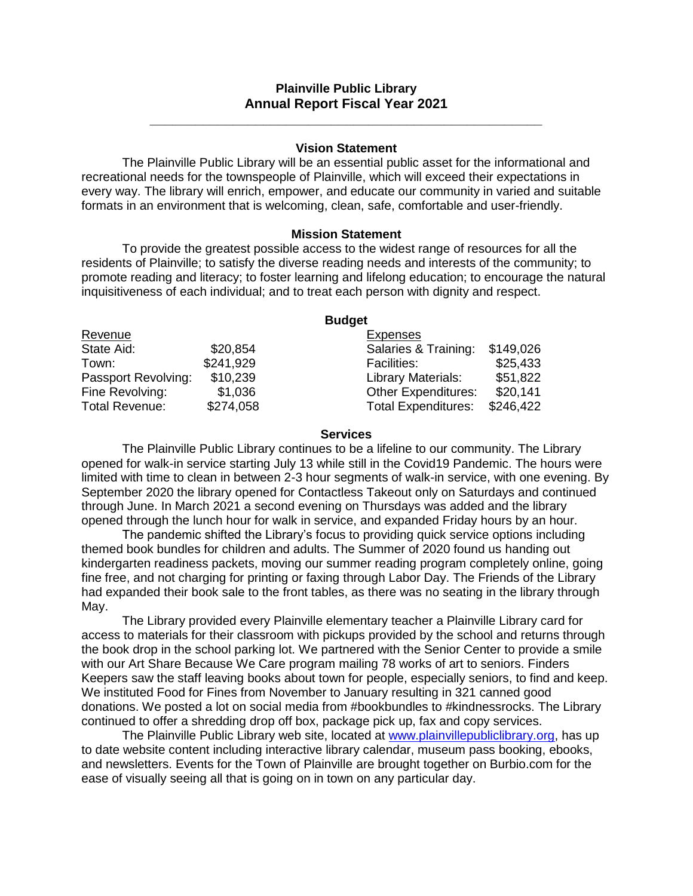# **Plainville Public Library Annual Report Fiscal Year 2021**

**\_\_\_\_\_\_\_\_\_\_\_\_\_\_\_\_\_\_\_\_\_\_\_\_\_\_\_\_\_\_\_\_\_\_\_\_\_\_\_\_\_\_\_\_\_\_\_\_\_\_\_\_**

### **Vision Statement**

The Plainville Public Library will be an essential public asset for the informational and recreational needs for the townspeople of Plainville, which will exceed their expectations in every way. The library will enrich, empower, and educate our community in varied and suitable formats in an environment that is welcoming, clean, safe, comfortable and user-friendly.

### **Mission Statement**

To provide the greatest possible access to the widest range of resources for all the residents of Plainville; to satisfy the diverse reading needs and interests of the community; to promote reading and literacy; to foster learning and lifelong education; to encourage the natural inquisitiveness of each individual; and to treat each person with dignity and respect.

|                     |           | <b>Budget</b>                           |
|---------------------|-----------|-----------------------------------------|
| Revenue             |           | <b>Expenses</b>                         |
| State Aid:          | \$20,854  | \$149,026<br>Salaries & Training:       |
| Town:               | \$241,929 | \$25,433<br><b>Facilities:</b>          |
| Passport Revolving: | \$10,239  | \$51,822<br><b>Library Materials:</b>   |
| Fine Revolving:     | \$1,036   | <b>Other Expenditures:</b><br>\$20,141  |
| Total Revenue:      | \$274,058 | \$246,422<br><b>Total Expenditures:</b> |

### **Services**

The Plainville Public Library continues to be a lifeline to our community. The Library opened for walk-in service starting July 13 while still in the Covid19 Pandemic. The hours were limited with time to clean in between 2-3 hour segments of walk-in service, with one evening. By September 2020 the library opened for Contactless Takeout only on Saturdays and continued through June. In March 2021 a second evening on Thursdays was added and the library opened through the lunch hour for walk in service, and expanded Friday hours by an hour.

The pandemic shifted the Library's focus to providing quick service options including themed book bundles for children and adults. The Summer of 2020 found us handing out kindergarten readiness packets, moving our summer reading program completely online, going fine free, and not charging for printing or faxing through Labor Day. The Friends of the Library had expanded their book sale to the front tables, as there was no seating in the library through May.

The Library provided every Plainville elementary teacher a Plainville Library card for access to materials for their classroom with pickups provided by the school and returns through the book drop in the school parking lot. We partnered with the Senior Center to provide a smile with our Art Share Because We Care program mailing 78 works of art to seniors. Finders Keepers saw the staff leaving books about town for people, especially seniors, to find and keep. We instituted Food for Fines from November to January resulting in 321 canned good donations. We posted a lot on social media from #bookbundles to #kindnessrocks. The Library continued to offer a shredding drop off box, package pick up, fax and copy services.

The Plainville Public Library web site, located at [www.plainvillepubliclibrary.org,](http://www.plainvillepubliclibrary.org/) has up to date website content including interactive library calendar, museum pass booking, ebooks, and newsletters. Events for the Town of Plainville are brought together on Burbio.com for the ease of visually seeing all that is going on in town on any particular day.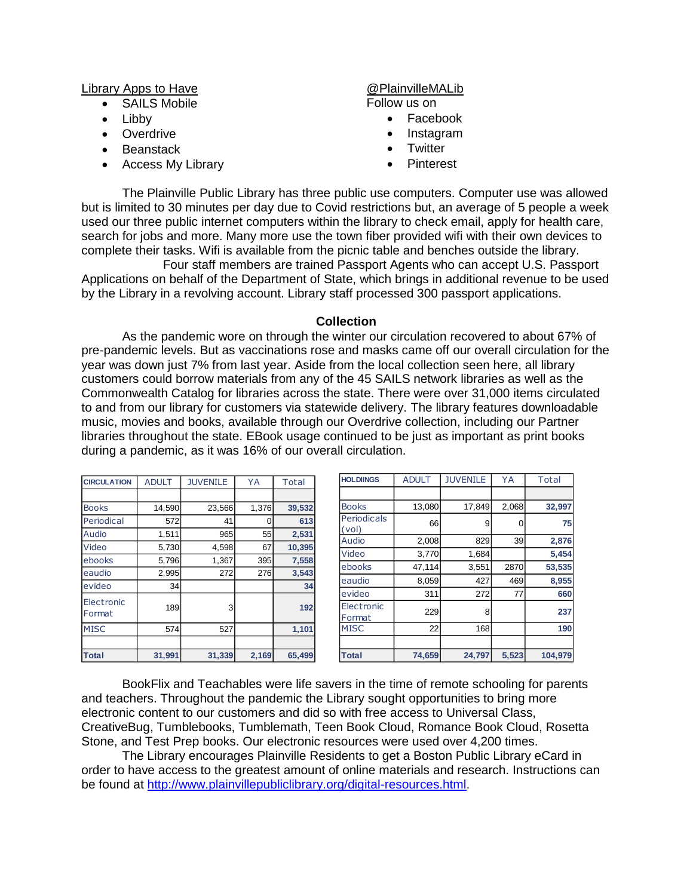Library Apps to Have

- SAILS Mobile
- Libby
- Overdrive
- Beanstack
- Access My Library

# @PlainvilleMALib

Follow us on

- Facebook
- Instagram
- **Twitter**
- Pinterest

The Plainville Public Library has three public use computers. Computer use was allowed but is limited to 30 minutes per day due to Covid restrictions but, an average of 5 people a week used our three public internet computers within the library to check email, apply for health care, search for jobs and more. Many more use the town fiber provided wifi with their own devices to complete their tasks. Wifi is available from the picnic table and benches outside the library.

Four staff members are trained Passport Agents who can accept U.S. Passport Applications on behalf of the Department of State, which brings in additional revenue to be used by the Library in a revolving account. Library staff processed 300 passport applications.

### **Collection**

As the pandemic wore on through the winter our circulation recovered to about 67% of pre-pandemic levels. But as vaccinations rose and masks came off our overall circulation for the year was down just 7% from last year. Aside from the local collection seen here, all library customers could borrow materials from any of the 45 SAILS network libraries as well as the Commonwealth Catalog for libraries across the state. There were over 31,000 items circulated to and from our library for customers via statewide delivery. The library features downloadable music, movies and books, available through our Overdrive collection, including our Partner libraries throughout the state. EBook usage continued to be just as important as print books during a pandemic, as it was 16% of our overall circulation.

| <b>CIRCULATION</b>   | <b>ADULT</b> | <b>JUVENILE</b> | YA    | Total  |
|----------------------|--------------|-----------------|-------|--------|
|                      |              |                 |       |        |
| <b>Books</b>         | 14,590       | 23,566          | 1,376 | 39,532 |
| Periodical           | 572          | 41              | 0     | 613    |
| Audio                | 1,511        | 965             | 55    | 2,531  |
| Video                | 5,730        | 4,598           | 67    | 10,395 |
| ebooks               | 5,796        | 1,367           | 395   | 7,558  |
| eaudio               | 2,995        | 272             | 276   | 3,543  |
| evideo               | 34           |                 |       | 34     |
| Electronic<br>Format | 189          | 3               |       | 192    |
| <b>MISC</b>          | 574          | 527             |       | 1,101  |
|                      |              |                 |       |        |
| <b>Total</b>         | 31,991       | 31,339          | 2,169 | 65.499 |

| <b>HOLDIINGS</b>     | <b>ADULT</b> | <b>JUVENILE</b> | YA    | Total   |
|----------------------|--------------|-----------------|-------|---------|
|                      |              |                 |       |         |
| <b>Books</b>         | 13,080       | 17,849          | 2,068 | 32,997  |
| Periodicals<br>(vol) | 66           | 9               | 0     | 75      |
| Audio                | 2,008        | 829             | 39    | 2,876   |
| Video                | 3,770        | 1,684           |       | 5.454   |
| ebooks               | 47,114       | 3,551           | 2870  | 53,535  |
| eaudio               | 8,059        | 427             | 469   | 8,955   |
| evideo               | 311          | 272             | 77    | 660     |
| Electronic<br>Format | 229          | 8               |       | 237     |
| <b>MISC</b>          | 22           | 168             |       | 190     |
|                      |              |                 |       |         |
| <b>Total</b>         | 74,659       | 24.797          | 5,523 | 104.979 |

BookFlix and Teachables were life savers in the time of remote schooling for parents and teachers. Throughout the pandemic the Library sought opportunities to bring more electronic content to our customers and did so with free access to Universal Class, CreativeBug, Tumblebooks, Tumblemath, Teen Book Cloud, Romance Book Cloud, Rosetta Stone, and Test Prep books. Our electronic resources were used over 4,200 times.

 $\overline{\phantom{a}}$ 

The Library encourages Plainville Residents to get a Boston Public Library eCard in order to have access to the greatest amount of online materials and research. Instructions can be found at [http://www.plainvillepubliclibrary.org/digital-resources.html.](http://www.plainvillepubliclibrary.org/digital-resources.html)